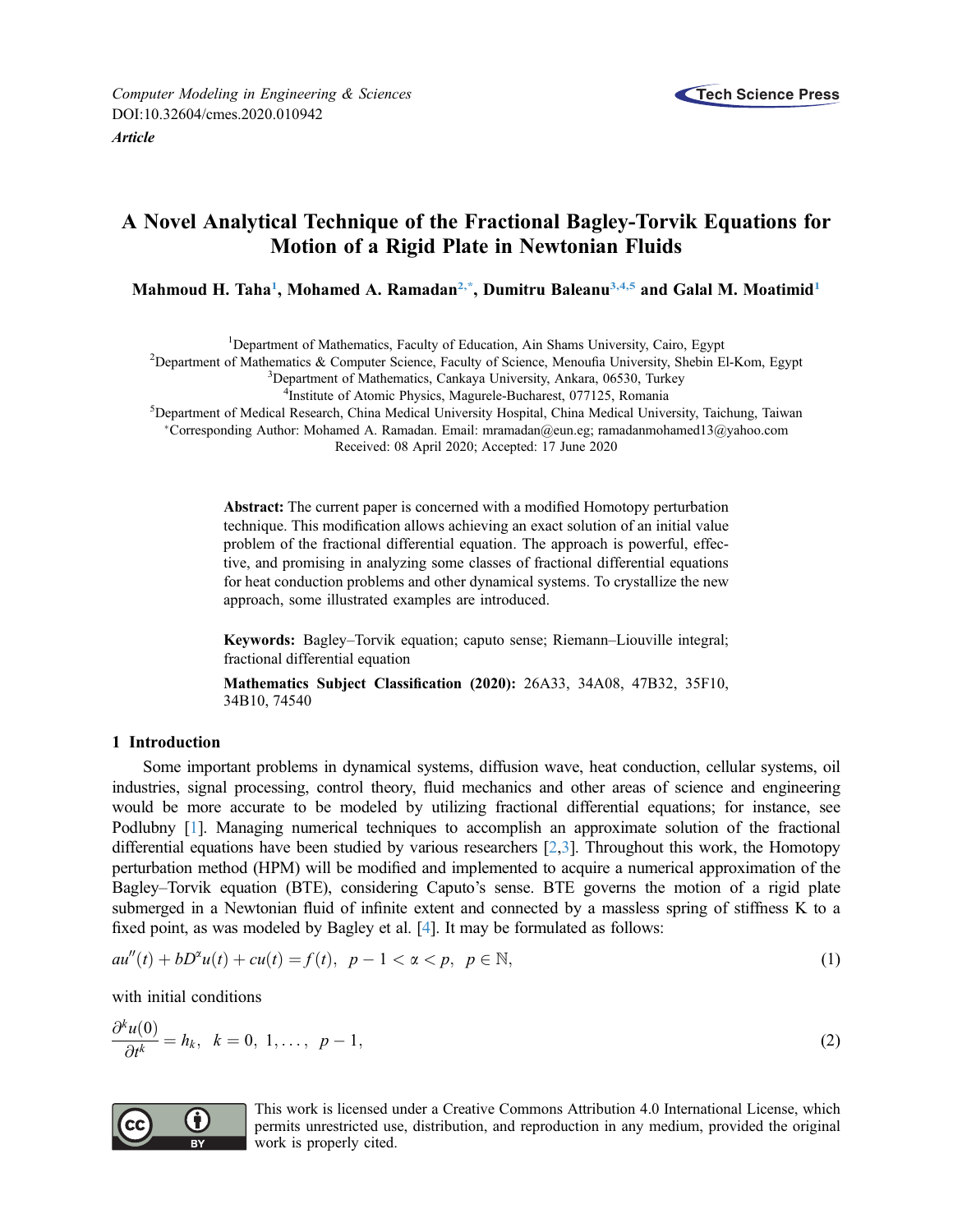

# A Novel Analytical Technique of the Fractional Bagley-Torvik Equations for Motion of a Rigid Plate in Newtonian Fluids

Mahmoud H. Taha<sup>1</sup>, Mohamed A. Ramadan<sup>2,\*</sup>, Dumitru Baleanu<sup>3,[4,](#page-0-3)[5](#page-0-4)</sup> and Galal M. Moatimid<sup>1</sup>

<span id="page-0-0"></span><sup>1</sup> Department of Mathematics, Faculty of Education, Ain Shams University, Cairo, Egypt<sup>2</sup> Department of Mathematics, & Computer Science, Egypt<sup>2</sup> Department of Mathematics, & Computer Science, Egypty of Science, Manoufia

<span id="page-0-2"></span><span id="page-0-1"></span><sup>2</sup>Department of Mathematics  $\&$  Computer Science, Faculty of Science, Menoufia University, Shebin El-Kom, Egypt

<sup>3</sup>Department of Mathematics, Cankaya University, Ankara, 06530, Turkey

<sup>4</sup>Institute of Atomic Physics, Magurele-Bucharest, 077125, Romania

<span id="page-0-4"></span><span id="page-0-3"></span><sup>5</sup> Institute of Atomic Physics, Magurele-Bucharest, 077125, Romania<br><sup>5</sup> Department of Medical Research, China Medical University Hospital, China Medical University, Taichung, Taiwan

Corresponding Author: Mohamed A. Ramadan. Email: [mramadan@eun.eg](mailto:<author-notes><corresp id=); [ramadanmohamed13@yahoo.com](mailto:<author-notes><corresp id=) Received: 08 April 2020; Accepted: 17 June 2020

Abstract: The current paper is concerned with a modified Homotopy perturbation technique. This modification allows achieving an exact solution of an initial value problem of the fractional differential equation. The approach is powerful, effective, and promising in analyzing some classes of fractional differential equations for heat conduction problems and other dynamical systems. To crystallize the new approach, some illustrated examples are introduced.

Keywords: Bagley–Torvik equation; caputo sense; Riemann–Liouville integral; fractional differential equation

Mathematics Subject Classification (2020): 26A33, 34A08, 47B32, 35F10, 34B10, 74540

### 1 Introduction

Some important problems in dynamical systems, diffusion wave, heat conduction, cellular systems, oil industries, signal processing, control theory, fluid mechanics and other areas of science and engineering would be more accurate to be modeled by utilizing fractional differential equations; for instance, see Podlubny [\[1](#page-12-0)]. Managing numerical techniques to accomplish an approximate solution of the fractional differential equations have been studied by various researchers [[2](#page-12-1),[3](#page-12-2)]. Throughout this work, the Homotopy perturbation method (HPM) will be modified and implemented to acquire a numerical approximation of the Bagley–Torvik equation (BTE), considering Caputo's sense. BTE governs the motion of a rigid plate submerged in a Newtonian fluid of infinite extent and connected by a massless spring of stiffness K to a fixed point, as was modeled by Bagley et al. [\[4\]](#page-12-3). It may be formulated as follows:

$$
au''(t) + bD^{\alpha}u(t) + cu(t) = f(t), \ \ p - 1 < \alpha < p, \ \ p \in \mathbb{N}, \tag{1}
$$

with initial conditions

$$
\frac{\partial^k u(0)}{\partial t^k} = h_k, \quad k = 0, 1, \dots, p-1,
$$
\n<sup>(2)</sup>



This work is licensed under a Creative Commons Attribution 4.0 International License, which permits unrestricted use, distribution, and reproduction in any medium, provided the original work is properly cited.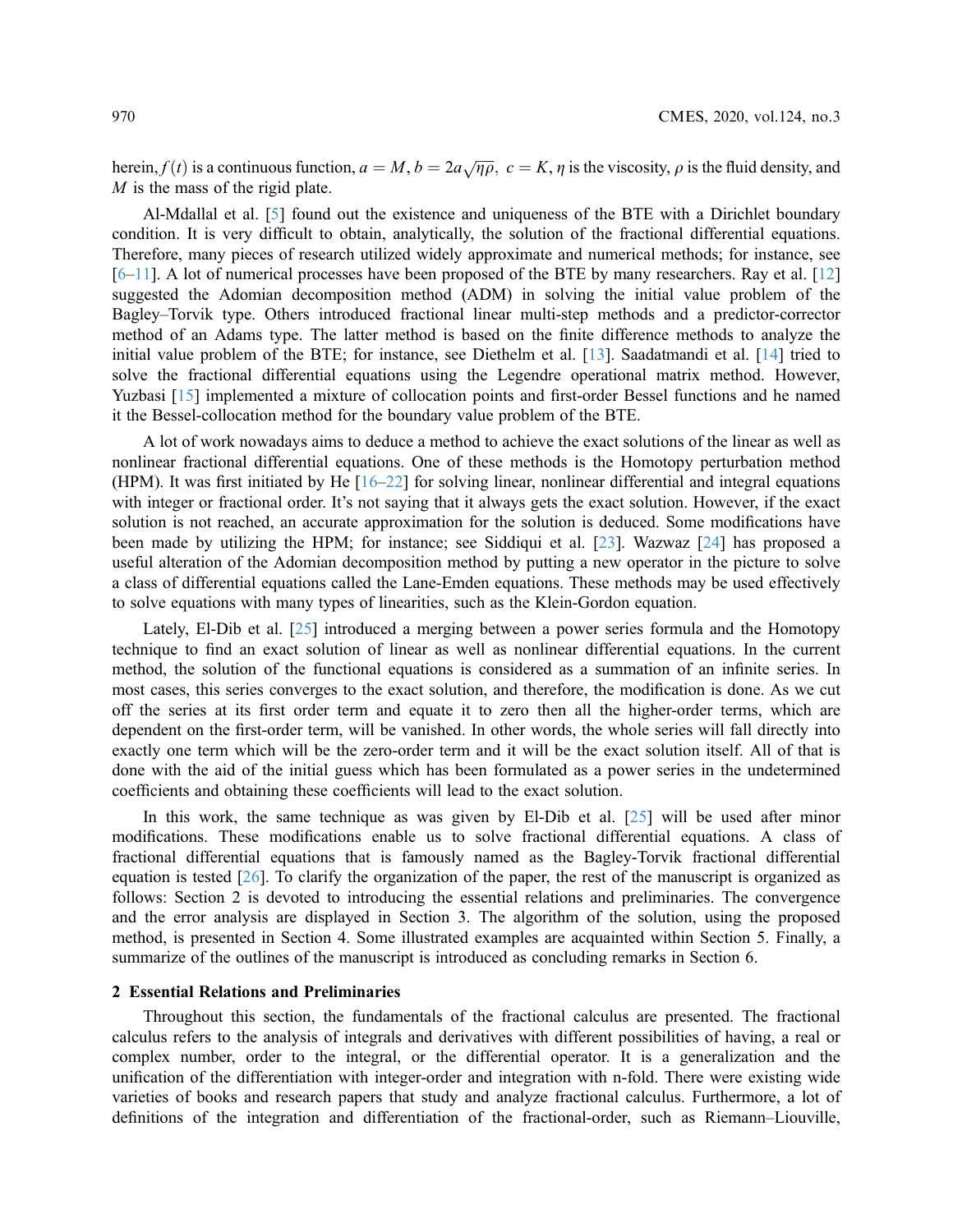herein,  $f(t)$  is a continuous function,  $a = M$ ,  $b = 2a\sqrt{\eta\rho}$ ,  $c = K$ ,  $\eta$  is the viscosity,  $\rho$  is the fluid density, and  $M$  is the mass of the rigid plate  $M$  is the mass of the rigid plate.

Al-Mdallal et al. [\[5\]](#page-12-4) found out the existence and uniqueness of the BTE with a Dirichlet boundary condition. It is very difficult to obtain, analytically, the solution of the fractional differential equations. Therefore, many pieces of research utilized widely approximate and numerical methods; for instance, see  $[6–11]$  $[6–11]$  $[6–11]$  $[6–11]$  $[6–11]$ . A lot of numerical processes have been proposed of the BTE by many researchers. Ray et al.  $[12]$  $[12]$ suggested the Adomian decomposition method (ADM) in solving the initial value problem of the Bagley–Torvik type. Others introduced fractional linear multi-step methods and a predictor-corrector method of an Adams type. The latter method is based on the finite difference methods to analyze the initial value problem of the BTE; for instance, see Diethelm et al. [[13\]](#page-13-2). Saadatmandi et al. [\[14](#page-13-3)] tried to solve the fractional differential equations using the Legendre operational matrix method. However, Yuzbasi [[15\]](#page-13-4) implemented a mixture of collocation points and first-order Bessel functions and he named it the Bessel-collocation method for the boundary value problem of the BTE.

A lot of work nowadays aims to deduce a method to achieve the exact solutions of the linear as well as nonlinear fractional differential equations. One of these methods is the Homotopy perturbation method (HPM). It was first initiated by He [[16](#page-13-5)–[22](#page-13-6)] for solving linear, nonlinear differential and integral equations with integer or fractional order. It's not saying that it always gets the exact solution. However, if the exact solution is not reached, an accurate approximation for the solution is deduced. Some modifications have been made by utilizing the HPM; for instance; see Siddiqui et al. [[23\]](#page-13-7). Wazwaz [[24\]](#page-13-8) has proposed a useful alteration of the Adomian decomposition method by putting a new operator in the picture to solve a class of differential equations called the Lane-Emden equations. These methods may be used effectively to solve equations with many types of linearities, such as the Klein-Gordon equation.

Lately, El-Dib et al. [[25\]](#page-13-9) introduced a merging between a power series formula and the Homotopy technique to find an exact solution of linear as well as nonlinear differential equations. In the current method, the solution of the functional equations is considered as a summation of an infinite series. In most cases, this series converges to the exact solution, and therefore, the modification is done. As we cut off the series at its first order term and equate it to zero then all the higher-order terms, which are dependent on the first-order term, will be vanished. In other words, the whole series will fall directly into exactly one term which will be the zero-order term and it will be the exact solution itself. All of that is done with the aid of the initial guess which has been formulated as a power series in the undetermined coefficients and obtaining these coefficients will lead to the exact solution.

In this work, the same technique as was given by El-Dib et al. [[25\]](#page-13-9) will be used after minor modifications. These modifications enable us to solve fractional differential equations. A class of fractional differential equations that is famously named as the Bagley-Torvik fractional differential equation is tested [\[26\]](#page-13-10). To clarify the organization of the paper, the rest of the manuscript is organized as follows: Section 2 is devoted to introducing the essential relations and preliminaries. The convergence and the error analysis are displayed in Section 3. The algorithm of the solution, using the proposed method, is presented in Section 4. Some illustrated examples are acquainted within Section 5. Finally, a summarize of the outlines of the manuscript is introduced as concluding remarks in Section 6.

#### 2 Essential Relations and Preliminaries

Throughout this section, the fundamentals of the fractional calculus are presented. The fractional calculus refers to the analysis of integrals and derivatives with different possibilities of having, a real or complex number, order to the integral, or the differential operator. It is a generalization and the unification of the differentiation with integer-order and integration with n-fold. There were existing wide varieties of books and research papers that study and analyze fractional calculus. Furthermore, a lot of definitions of the integration and differentiation of the fractional-order, such as Riemann–Liouville,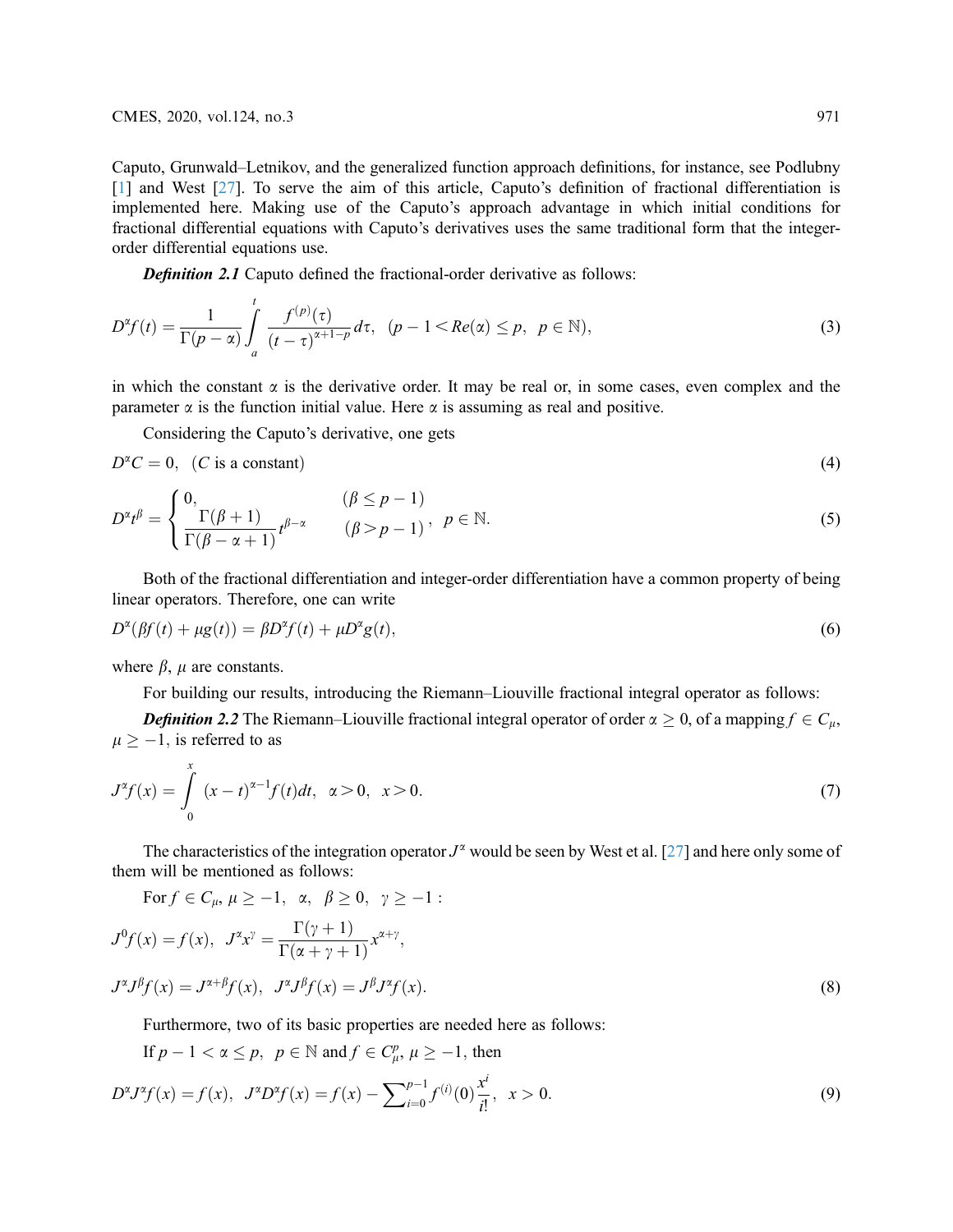Caputo, Grunwald–Letnikov, and the generalized function approach definitions, for instance, see Podlubny [[1](#page-12-0)] and West [\[27](#page-13-11)]. To serve the aim of this article, Caputo's definition of fractional differentiation is implemented here. Making use of the Caputo's approach advantage in which initial conditions for fractional differential equations with Caputo's derivatives uses the same traditional form that the integerorder differential equations use.

<span id="page-2-1"></span>**Definition 2.1** Caputo defined the fractional-order derivative as follows:

$$
D^{\alpha}f(t) = \frac{1}{\Gamma(p-\alpha)} \int_{a}^{t} \frac{f^{(p)}(\tau)}{(t-\tau)^{\alpha+1-p}} d\tau, \quad (p-1 < Re(\alpha) \leq p, \quad p \in \mathbb{N}),\tag{3}
$$

in which the constant  $\alpha$  is the derivative order. It may be real or, in some cases, even complex and the parameter  $\alpha$  is the function initial value. Here  $\alpha$  is assuming as real and positive.

Considering the Caputo's derivative, one gets

 $D^{\alpha}C = 0$ , (C is a constant) (4)

$$
(\mathbf{4})
$$

$$
D^{\alpha}t^{\beta} = \begin{cases} 0, & (\beta \le p - 1) \\ \frac{\Gamma(\beta + 1)}{\Gamma(\beta - \alpha + 1)} t^{\beta - \alpha} & (\beta > p - 1) \end{cases}, \quad p \in \mathbb{N}.
$$
 (5)

Both of the fractional differentiation and integer-order differentiation have a common property of being linear operators. Therefore, one can write

$$
D^{\alpha}(\beta f(t) + \mu g(t)) = \beta D^{\alpha} f(t) + \mu D^{\alpha} g(t),\tag{6}
$$

where  $\beta$ ,  $\mu$  are constants.

For building our results, introducing the Riemann–Liouville fractional integral operator as follows:

**Definition 2.2** The Riemann–Liouville fractional integral operator of order  $\alpha \ge 0$ , of a mapping  $f \in C_{\mu}$ ,  $\mu \ge -1$ , is referred to as

$$
J^{\alpha}f(x) = \int_{0}^{x} (x - t)^{\alpha - 1} f(t)dt, \ \alpha > 0, \ x > 0.
$$
 (7)

The characteristics of the integration operator  $J^{\alpha}$  would be seen by West et al. [[27\]](#page-13-11) and here only some of them will be mentioned as follows:

For 
$$
f \in C_{\mu}
$$
,  $\mu \ge -1$ ,  $\alpha$ ,  $\beta \ge 0$ ,  $\gamma \ge -1$ :  
\n
$$
J^0 f(x) = f(x), \quad J^{\alpha} x^{\gamma} = \frac{\Gamma(\gamma + 1)}{\Gamma(\alpha + \gamma + 1)} x^{\alpha + \gamma},
$$
\n
$$
J^{\alpha} J^{\beta} f(x) = J^{\alpha + \beta} f(x), \quad J^{\alpha} J^{\beta} f(x) = J^{\beta} J^{\alpha} f(x).
$$
\n(8)

Furthermore, two of its basic properties are needed here as follows:

<span id="page-2-0"></span>If  $p - 1 < \alpha \le p$ ,  $p \in \mathbb{N}$  and  $f \in C_p^p$ ,  $\mu \ge -1$ , then

$$
D^{\alpha}J^{\alpha}f(x) = f(x), \quad J^{\alpha}D^{\alpha}f(x) = f(x) - \sum_{i=0}^{p-1} f^{(i)}(0) \frac{x^i}{i!}, \quad x > 0. \tag{9}
$$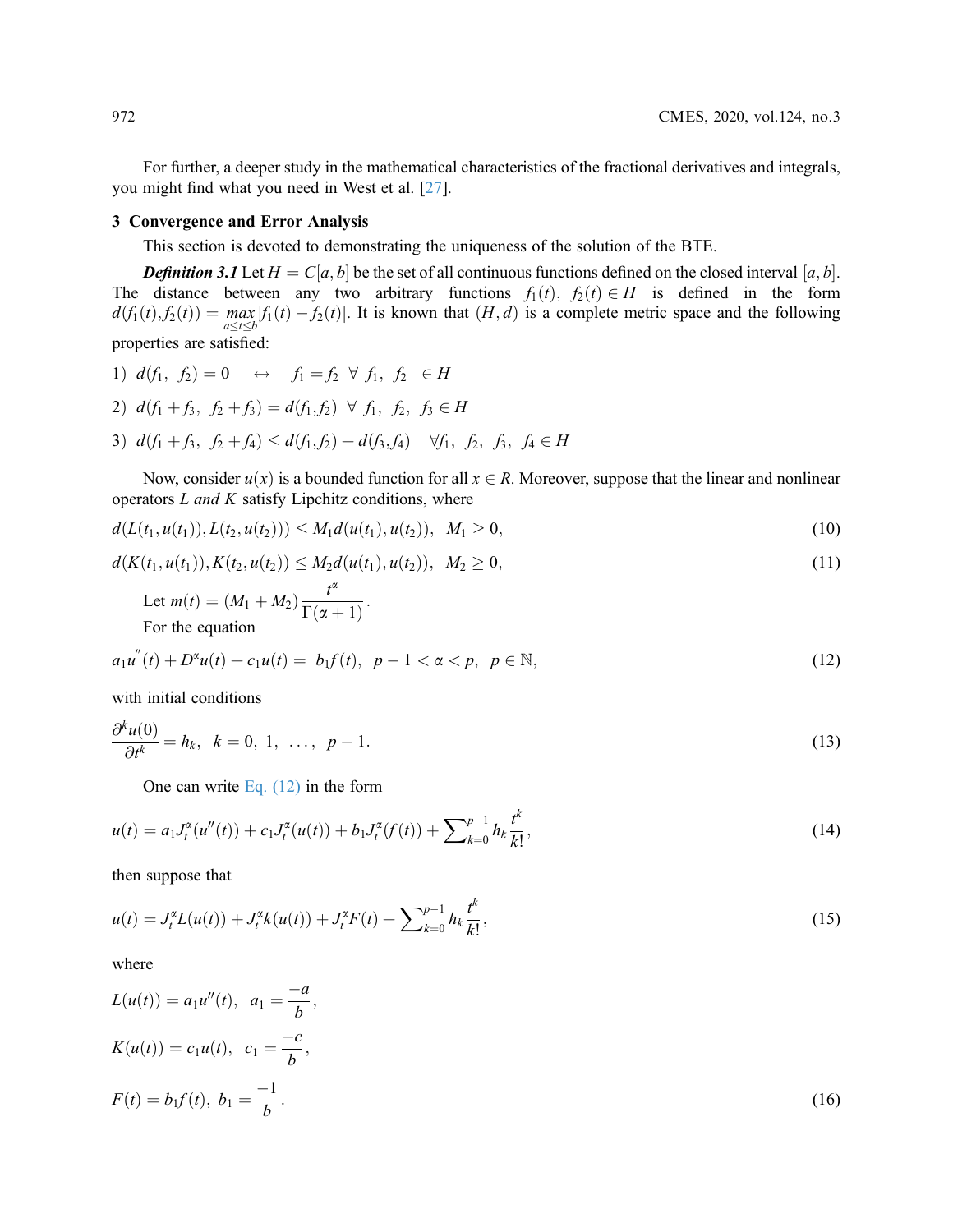For further, a deeper study in the mathematical characteristics of the fractional derivatives and integrals, you might find what you need in West et al. [\[27](#page-13-11)].

#### 3 Convergence and Error Analysis

This section is devoted to demonstrating the uniqueness of the solution of the BTE.

**Definition 3.1** Let  $H = C[a, b]$  be the set of all continuous functions defined on the closed interval [a, b]. The distance between any two arbitrary functions  $f_1(t)$ ,  $f_2(t) \in H$  is defined in the form  $d(f_1(t), f_2(t)) = \max_{a \le t \le b} |f_1(t) - f_2(t)|$ . It is known that  $(H, d)$  is a complete metric space and the following properties are satisfied:

- <span id="page-3-1"></span><span id="page-3-0"></span>1)  $d(f_1, f_2) = 0 \Leftrightarrow f_1 = f_2 \forall f_1, f_2 \in H$ 2)  $d(f_1+f_3, f_2+f_3) = d(f_1,f_2) \forall f_1, f_2, f_3 \in H$
- 3)  $d(f_1+f_3, f_2+f_4) \leq d(f_1,f_2) + d(f_3,f_4) \quad \forall f_1, f_2, f_3, f_4 \in H$

Now, consider  $u(x)$  is a bounded function for all  $x \in R$ . Moreover, suppose that the linear and nonlinear operators  $L$  and  $K$  satisfy Lipchitz conditions, where

$$
d(L(t_1, u(t_1)), L(t_2, u(t_2))) \leq M_1 d(u(t_1), u(t_2)), \quad M_1 \geq 0,
$$
\n(10)

$$
d(K(t_1, u(t_1)), K(t_2, u(t_2)) \leq M_2 d(u(t_1), u(t_2)), \quad M_2 \geq 0,
$$
\n(11)

Let 
$$
m(t) = (M_1 + M_2) \frac{t^{\alpha}}{\Gamma(\alpha + 1)}
$$
.  
For the equation

$$
a_1u''(t) + D^{\alpha}u(t) + c_1u(t) = b_1f(t), \ \ p - 1 < \alpha < p, \ \ p \in \mathbb{N},\tag{12}
$$

<span id="page-3-2"></span>with initial conditions

$$
\frac{\partial^k u(0)}{\partial t^k} = h_k, \quad k = 0, 1, \ldots, p-1. \tag{13}
$$

One can write Eq.  $(12)$  in the form

$$
u(t) = a_1 J_t^{\alpha}(u''(t)) + c_1 J_t^{\alpha}(u(t)) + b_1 J_t^{\alpha}(f(t)) + \sum_{k=0}^{p-1} h_k \frac{t^k}{k!},
$$
\n(14)

then suppose that

$$
u(t) = J_t^{\alpha} L(u(t)) + J_t^{\alpha} k(u(t)) + J_t^{\alpha} F(t) + \sum_{k=0}^{p-1} h_k \frac{t^k}{k!},
$$
\n(15)

where

$$
L(u(t)) = a_1 u''(t), \quad a_1 = \frac{-a}{b},
$$
  
\n
$$
K(u(t)) = c_1 u(t), \quad c_1 = \frac{-c}{b},
$$
  
\n
$$
F(t) = b_1 f(t), \quad b_1 = \frac{-1}{b}.
$$
\n(16)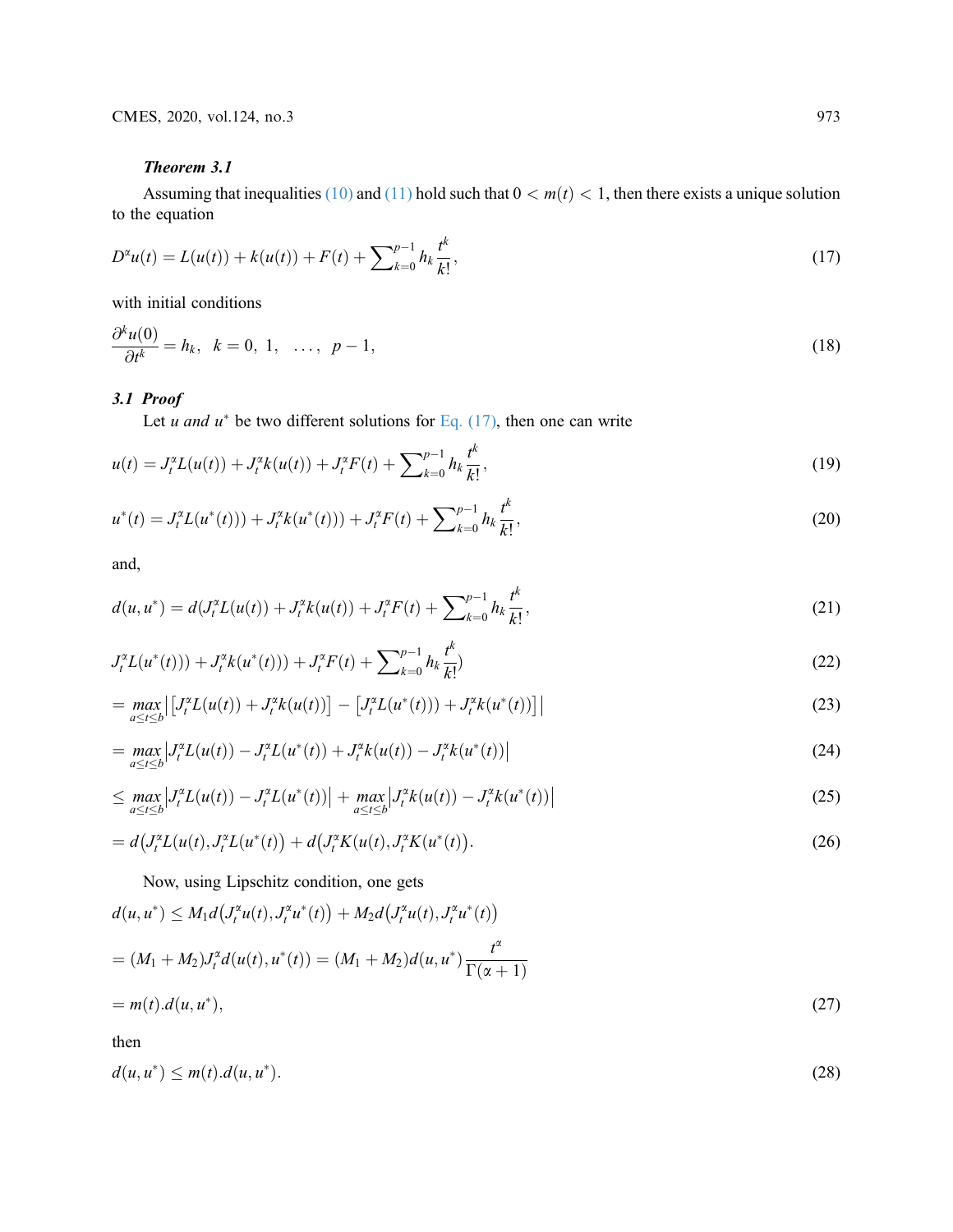# Theorem 3.1

Assuming that inequalities [\(10\)](#page-2-0) and [\(11\)](#page-3-1) hold such that  $0 < m(t) < 1$ , then there exists a unique solution to the equation

$$
D^{\alpha}u(t) = L(u(t)) + k(u(t)) + F(t) + \sum_{k=0}^{p-1} h_k \frac{t^k}{k!},
$$
\n(17)

with initial conditions

$$
\frac{\partial^k u(0)}{\partial t^k} = h_k, \quad k = 0, 1, \quad \dots, p-1,
$$
\n
$$
(18)
$$

### 3.1 Proof

Let u and  $u^*$  be two different solutions for [Eq. \(17\),](#page-3-2) then one can write

$$
u(t) = J_t^{\alpha} L(u(t)) + J_t^{\alpha} k(u(t)) + J_t^{\alpha} F(t) + \sum_{k=0}^{p-1} h_k \frac{t^k}{k!},
$$
\n(19)

$$
u^*(t) = J_t^{\alpha} L(u^*(t)) + J_t^{\alpha} k(u^*(t)) + J_t^{\alpha} F(t) + \sum_{k=0}^{p-1} h_k \frac{t^k}{k!},
$$
\n(20)

and,

$$
d(u, u^*) = d(J_t^{\alpha} L(u(t)) + J_t^{\alpha} k(u(t)) + J_t^{\alpha} F(t) + \sum_{k=0}^{p-1} h_k \frac{t^k}{k!},
$$
\n(21)

$$
J_t^{\alpha}L(u^*(t))) + J_t^{\alpha}k(u^*(t))) + J_t^{\alpha}F(t) + \sum_{k=0}^{p-1} h_k \frac{t^k}{k!}
$$
\n(22)

$$
= \max_{a \le t \le b} \left[ J_t^{\alpha} L(u(t)) + J_t^{\alpha} k(u(t)) \right] - \left[ J_t^{\alpha} L(u^*(t)) + J_t^{\alpha} k(u^*(t)) \right] \tag{23}
$$

$$
= \max_{a \le t \le b} \left| J_t^{\alpha} L(u(t)) - J_t^{\alpha} L(u^*(t)) + J_t^{\alpha} k(u(t)) - J_t^{\alpha} k(u^*(t)) \right|
$$
\n(24)

$$
\leq \max_{a \leq t \leq b} \left| J_t^{\alpha} L(u(t)) - J_t^{\alpha} L(u^*(t)) \right| + \max_{a \leq t \leq b} \left| J_t^{\alpha} k(u(t)) - J_t^{\alpha} k(u^*(t)) \right| \tag{25}
$$

$$
= d\big(J_t^{\alpha} L(u(t), J_t^{\alpha} L(u^*(t)) + d\big(J_t^{\alpha} K(u(t), J_t^{\alpha} K(u^*(t))\big). \tag{26}
$$

Now, using Lipschitz condition, one gets

$$
d(u, u^*) \le M_1 d(J_t^{\alpha} u(t), J_t^{\alpha} u^*(t)) + M_2 d(J_t^{\alpha} u(t), J_t^{\alpha} u^*(t))
$$
  
=  $(M_1 + M_2) J_t^{\alpha} d(u(t), u^*(t)) = (M_1 + M_2) d(u, u^*) \frac{t^{\alpha}}{\Gamma(\alpha + 1)}$   
=  $m(t) . d(u, u^*),$  (27)

then

$$
d(u, u^*) \le m(t) \cdot d(u, u^*). \tag{28}
$$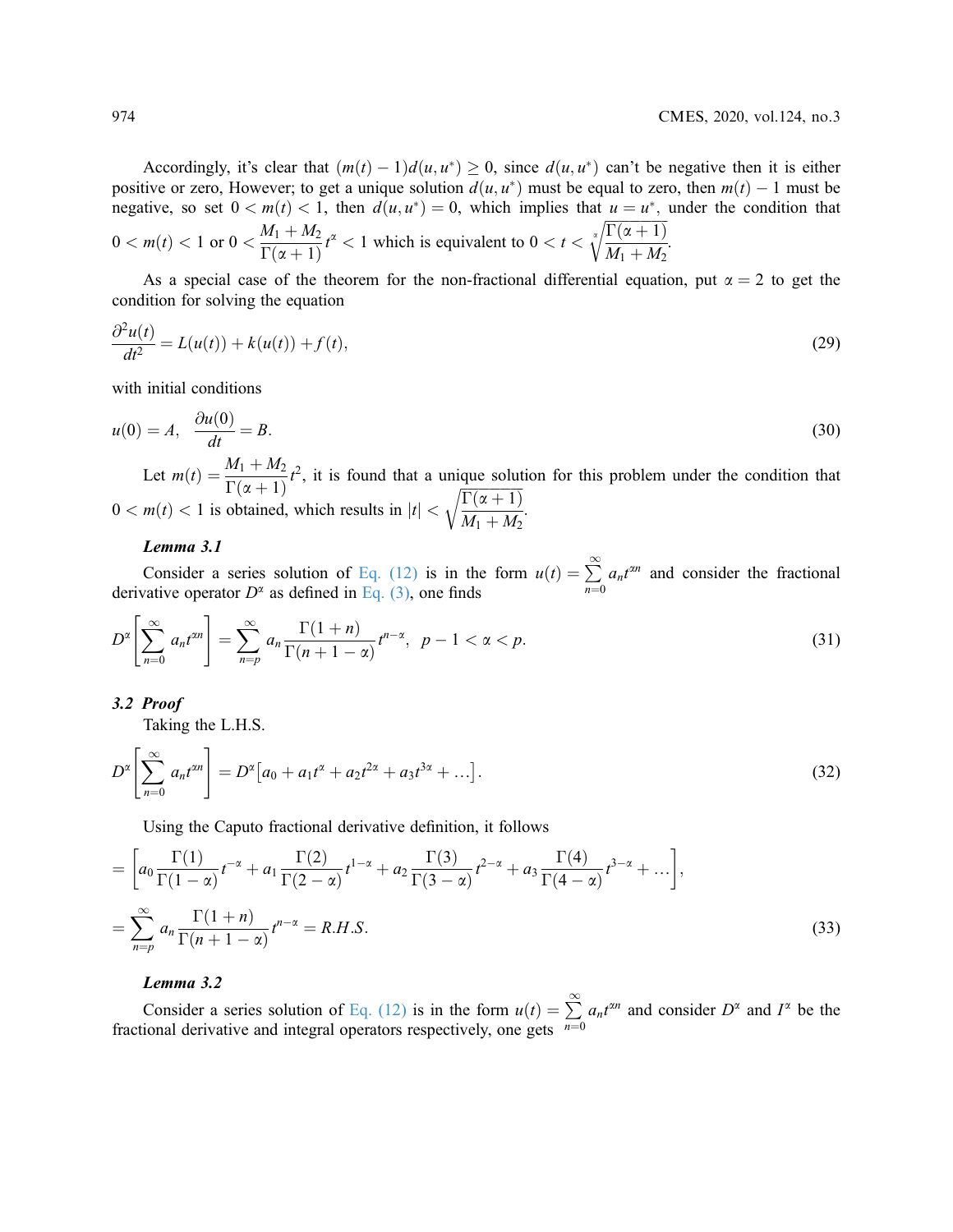Accordingly, it's clear that  $(m(t) - 1)d(u, u^*) \ge 0$ , since  $d(u, u^*)$  can't be negative then it is either positive or zero, However; to get a unique solution  $d(u, u^*)$  must be equal to zero, then  $m(t) - 1$  must be negative, so set  $0 < m(t) < 1$ , then  $d(u, u^*) = 0$ , which implies that  $u = u^*$ , under the condition that  $0 < m(t) < 1$  or  $0 < \frac{M_1 + M_2}{\Gamma(\alpha + 1)}$  $\frac{d\mathbf{r}(t+1) - d\mathbf{r}(t)}{\Gamma(\alpha+1)} t^{\alpha} < 1$  which is equivalent to  $0 < t <$  $\frac{\Gamma(\alpha+1)}{\Gamma(\alpha+1)}$  $\sqrt[\alpha]{\frac{\Gamma(\alpha+1)}{M_1+M_2}}$ .

As a special case of the theorem for the non-fractional differential equation, put  $\alpha = 2$  to get the condition for solving the equation

$$
\frac{\partial^2 u(t)}{dt^2} = L(u(t)) + k(u(t)) + f(t),
$$
\n(29)

with initial conditions

$$
u(0) = A, \quad \frac{\partial u(0)}{\partial t} = B. \tag{30}
$$

Let  $m(t) = \frac{M_1 + M_2}{\Gamma(\alpha + 1)} t^2$ , it is found that a unique solution for this problem under the condition that  $(\alpha + 1)$  $0 < m(t) < 1$  is obtained, which results in  $|t| <$  $\frac{\Gamma(\alpha+1)}{\Gamma(\alpha+1)}$  $M_1 + M_2$ <sup>1</sup> :

### Lemma 3.1

Consider a series solution of [Eq. \(12\)](#page-3-0) is in the form  $u(t) = \sum_{n=0}^{\infty}$  ative operator  $D^{\alpha}$  as defined in Eq. (3), one finds  $\sum^{\infty} a_n t^{\alpha n}$  and consider the fractional derivative operator  $D^{\alpha}$  as defined in [Eq. \(3\)](#page-2-1), one finds

$$
D^{\alpha}\left[\sum_{n=0}^{\infty} a_n t^{\alpha n}\right] = \sum_{n=p}^{\infty} a_n \frac{\Gamma(1+n)}{\Gamma(n+1-\alpha)} t^{n-\alpha}, \ \ p-1 < \alpha < p. \tag{31}
$$

#### 3.2 Proof

Taking the L.H.S.

$$
D^{\alpha}\left[\sum_{n=0}^{\infty} a_n t^{\alpha n}\right] = D^{\alpha}\left[a_0 + a_1 t^{\alpha} + a_2 t^{2\alpha} + a_3 t^{3\alpha} + \ldots\right].
$$
\n(32)

Using the Caputo fractional derivative definition, it follows

$$
= \left[a_0 \frac{\Gamma(1)}{\Gamma(1-\alpha)} t^{-\alpha} + a_1 \frac{\Gamma(2)}{\Gamma(2-\alpha)} t^{1-\alpha} + a_2 \frac{\Gamma(3)}{\Gamma(3-\alpha)} t^{2-\alpha} + a_3 \frac{\Gamma(4)}{\Gamma(4-\alpha)} t^{3-\alpha} + \dots\right],
$$
  

$$
= \sum_{n=p}^{\infty} a_n \frac{\Gamma(1+n)}{\Gamma(n+1-\alpha)} t^{n-\alpha} = R.H.S.
$$
 (33)

#### Lemma 3.2

Consider a series solution of [Eq. \(12\)](#page-3-0) is in the form  $u(t) = \sum$ <br>ional derivative and integral operators respectively, one gets  $n=0$  $\sum_{n=1}^{\infty} a_n t^{\alpha n}$  and consider  $D^{\alpha}$  and  $I^{\alpha}$  be the fractional derivative and integral operators respectively, one gets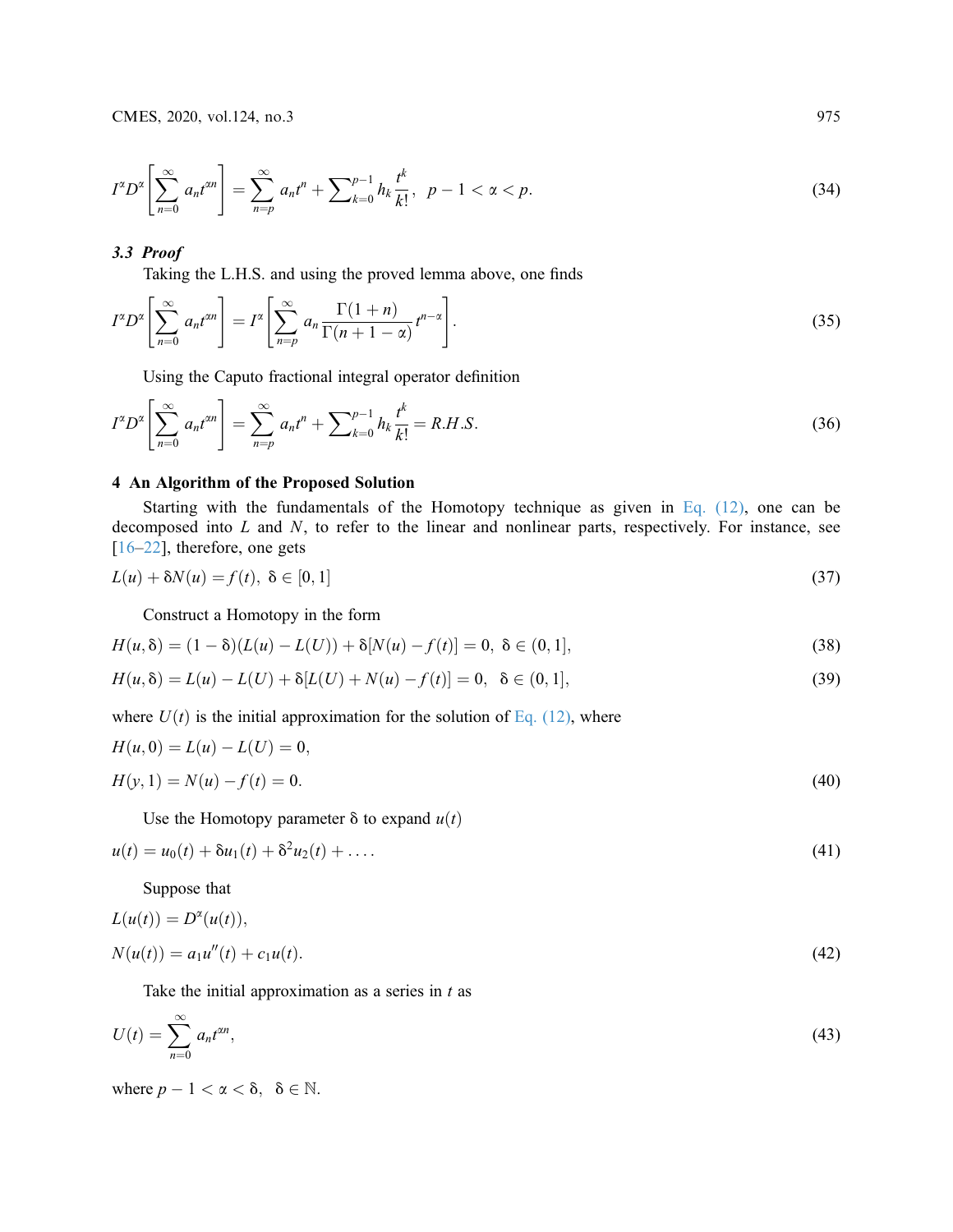$$
I^{\alpha}D^{\alpha}\left[\sum_{n=0}^{\infty} a_n t^{\alpha n}\right] = \sum_{n=p}^{\infty} a_n t^n + \sum_{k=0}^{p-1} h_k \frac{t^k}{k!}, \ \ p-1 < \alpha < p. \tag{34}
$$

# <span id="page-6-3"></span>3.3 Proof

Taking the L.H.S. and using the proved lemma above, one finds

$$
I^{\alpha}D^{\alpha}\left[\sum_{n=0}^{\infty} a_n t^{\alpha n}\right] = I^{\alpha}\left[\sum_{n=p}^{\infty} a_n \frac{\Gamma(1+n)}{\Gamma(n+1-\alpha)} t^{n-\alpha}\right].
$$
\n(35)

Using the Caputo fractional integral operator definition

$$
I^{\alpha}D^{\alpha}\left[\sum_{n=0}^{\infty} a_n t^{\alpha n}\right] = \sum_{n=p}^{\infty} a_n t^n + \sum_{k=0}^{p-1} h_k \frac{t^k}{k!} = R.H.S.
$$
 (36)

## 4 An Algorithm of the Proposed Solution

<span id="page-6-1"></span>Starting with the fundamentals of the Homotopy technique as given in Eq.  $(12)$ , one can be decomposed into  $L$  and  $N$ , to refer to the linear and nonlinear parts, respectively. For instance, see  $[16–22]$  $[16–22]$  $[16–22]$  $[16–22]$ , therefore, one gets

$$
L(u) + \delta N(u) = f(t), \ \delta \in [0, 1]
$$
\n
$$
(37)
$$

<span id="page-6-2"></span>Construct a Homotopy in the form

<span id="page-6-0"></span>
$$
H(u, \delta) = (1 - \delta)(L(u) - L(U)) + \delta[N(u) - f(t)] = 0, \ \delta \in (0, 1],
$$
\n(38)

$$
H(u, \delta) = L(u) - L(U) + \delta[L(U) + N(u) - f(t)] = 0, \ \delta \in (0, 1],
$$
\n(39)

where  $U(t)$  is the initial approximation for the solution of [Eq. \(12\),](#page-3-0) where

$$
H(u, 0) = L(u) - L(U) = 0,
$$
  
\n
$$
H(y, 1) = N(u) - f(t) = 0.
$$
\n(40)

Use the Homotopy parameter  $\delta$  to expand  $u(t)$ 

$$
u(t) = u_0(t) + \delta u_1(t) + \delta^2 u_2(t) + \dots
$$
\n(41)

Suppose that

<span id="page-6-5"></span>
$$
L(u(t)) = D^{\alpha}(u(t)),
$$
  
\n
$$
N(u(t)) = a_1 u''(t) + c_1 u(t).
$$
\n(42)

<span id="page-6-4"></span>Take the initial approximation as a series in  $t$  as

$$
U(t) = \sum_{n=0}^{\infty} a_n t^{\alpha n},\tag{43}
$$

where  $p - 1 < \alpha < \delta$ ,  $\delta \in \mathbb{N}$ .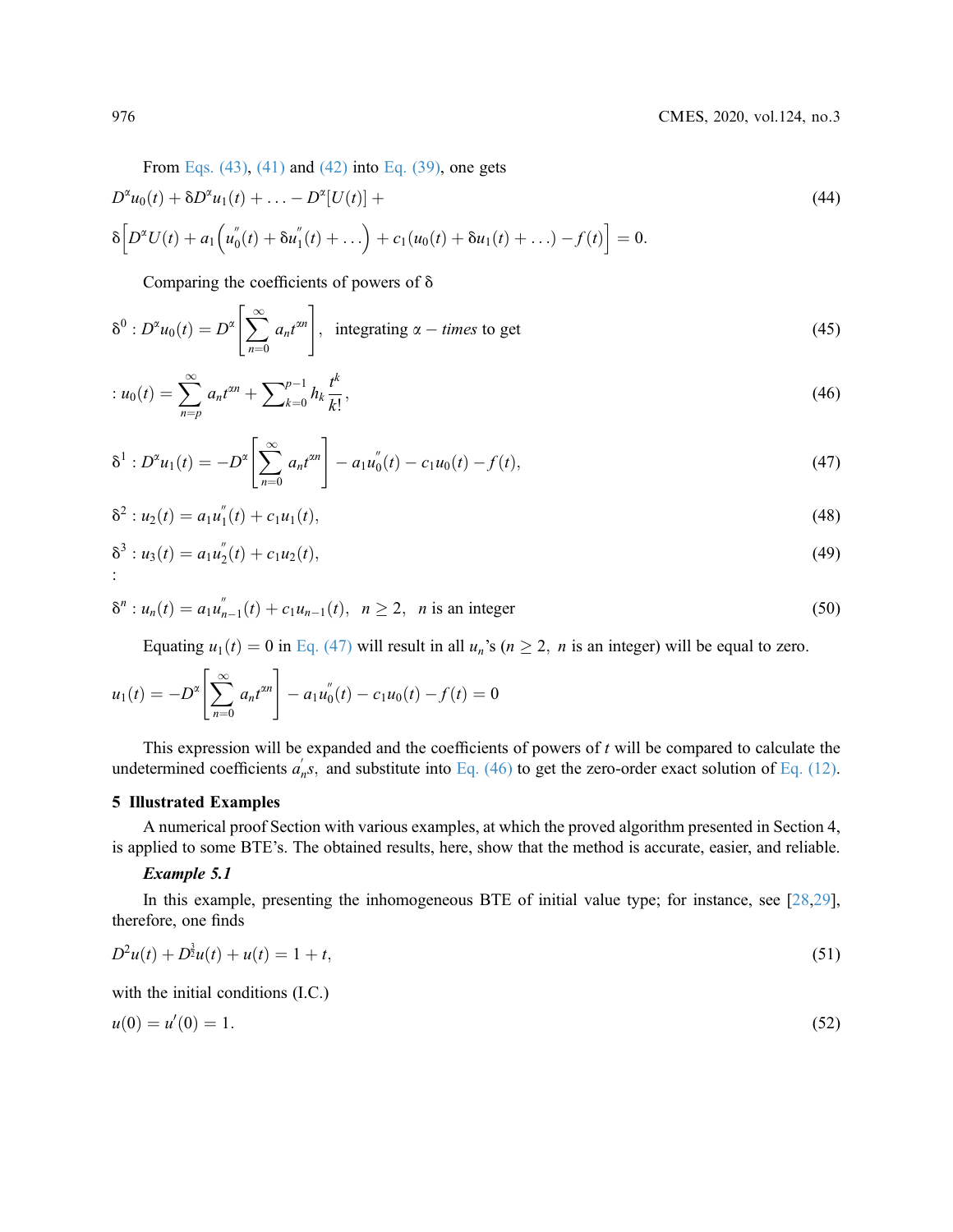From Eqs.  $(43)$ ,  $(41)$  and  $(42)$  into Eq.  $(39)$ , one gets

$$
D^{2}u_{0}(t) + \delta D^{2}u_{1}(t) + \ldots - D^{2}[U(t)] +
$$
  
\n
$$
\delta \Big[D^{2}U(t) + a_{1}\Big(u_{0}''(t) + \delta u_{1}''(t) + \ldots\Big) + c_{1}(u_{0}(t) + \delta u_{1}(t) + \ldots) - f(t)\Big] = 0.
$$
\n(44)

<span id="page-7-2"></span>Comparing the coefficients of powers of  $\delta$ 

$$
\delta^{0}: D^{x}u_{0}(t) = D^{x}\left[\sum_{n=0}^{\infty} a_{n}t^{2n}\right], \text{ integrating } \alpha - \text{times to get}
$$
\n(45)

$$
: u_0(t) = \sum_{n=p}^{\infty} a_n t^{2n} + \sum_{k=0}^{p-1} h_k \frac{t^k}{k!},
$$
\n(46)

$$
\delta^1 : D^2 u_1(t) = -D^2 \left[ \sum_{n=0}^{\infty} a_n t^{2n} \right] - a_1 u_0''(t) - c_1 u_0(t) - f(t), \tag{47}
$$

$$
\delta^2: u_2(t) = a_1 u_1''(t) + c_1 u_1(t), \tag{48}
$$

<span id="page-7-1"></span>
$$
\delta^3: u_3(t) = a_1 u_2'(t) + c_1 u_2(t), \tag{49}
$$

$$
\delta^{n} : u_{n}(t) = a_{1}u_{n-1}^{''}(t) + c_{1}u_{n-1}(t), \ \ n \ge 2, \ \ n \text{ is an integer}
$$
\n(50)

Equating  $u_1(t) = 0$  in [Eq. \(47\)](#page-6-4) will result in all  $u_n$ 's ( $n \ge 2$ , *n* is an integer) will be equal to zero.

$$
u_1(t) = -D^{\alpha} \left[ \sum_{n=0}^{\infty} a_n t^{\alpha n} \right] - a_1 u_0''(t) - c_1 u_0(t) - f(t) = 0
$$

This expression will be expanded and the coefficients of powers of  $t$  will be compared to calculate the undetermined coefficients  $a'_n s$ , and substitute into [Eq. \(46\)](#page-6-5) to get the zero-order exact solution of [Eq. \(12\)](#page-3-0).

### 5 Illustrated Examples

A numerical proof Section with various examples, at which the proved algorithm presented in Section 4, is applied to some BTE's. The obtained results, here, show that the method is accurate, easier, and reliable.

### Example 5.1

<span id="page-7-0"></span>In this example, presenting the inhomogeneous BTE of initial value type; for instance, see [\[28](#page-13-12),[29\]](#page-14-0), therefore, one finds

$$
D^2u(t) + D^{\frac{3}{2}}u(t) + u(t) = 1 + t,\tag{51}
$$

with the initial conditions (I.C.)

$$
u(0) = u'(0) = 1. \tag{52}
$$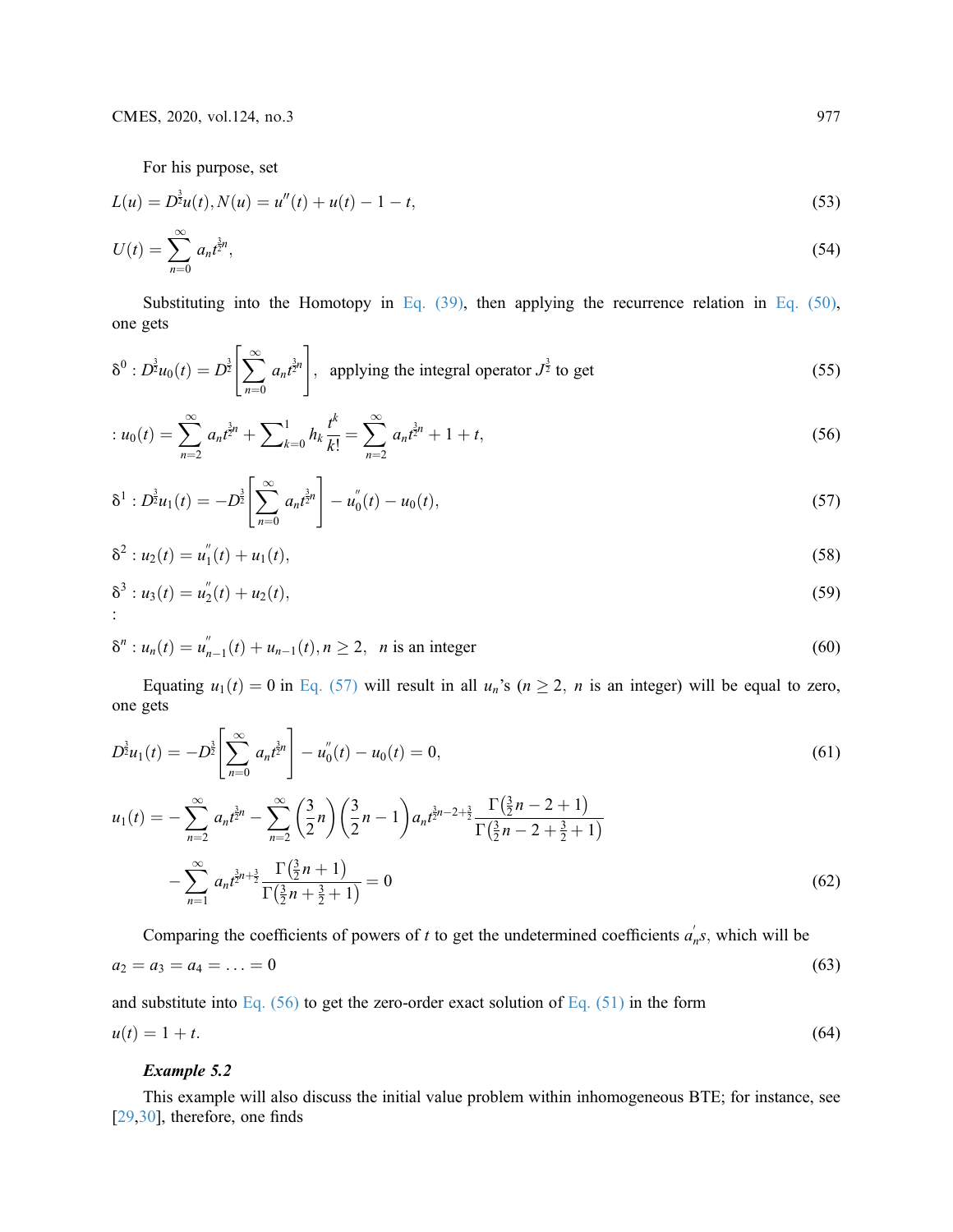For his purpose, set

$$
L(u) = D^{\frac{3}{2}}u(t), N(u) = u''(t) + u(t) - 1 - t,
$$
\n(53)

$$
U(t) = \sum_{n=0}^{\infty} a_n t^{\frac{3}{2}n},\tag{54}
$$

Substituting into the Homotopy in Eq.  $(39)$ , then applying the recurrence relation in Eq.  $(50)$ , one gets

$$
\delta^{0}: D^{\frac{3}{2}}u_{0}(t) = D^{\frac{3}{2}}\left[\sum_{n=0}^{\infty} a_{n}t^{\frac{3}{2}n}\right], \text{ applying the integral operator } J^{\frac{3}{2}} \text{ to get}
$$
\n(55)

$$
: u_0(t) = \sum_{n=2}^{\infty} a_n t^{\frac{3}{2}n} + \sum_{k=0}^1 h_k \frac{t^k}{k!} = \sum_{n=2}^{\infty} a_n t^{\frac{3}{2}n} + 1 + t,
$$
\n
$$
(56)
$$

$$
\delta^1 : D^{\frac{3}{2}} u_1(t) = -D^{\frac{3}{2}} \left[ \sum_{n=0}^{\infty} a_n t^{\frac{3}{2}n} \right] - u_0''(t) - u_0(t), \qquad (57)
$$

<span id="page-8-2"></span>
$$
\delta^2: u_2(t) = u_1''(t) + u_1(t), \tag{58}
$$

$$
\delta^3: u_3(t) = u_2''(t) + u_2(t), \tag{59}
$$

$$
\delta^{n}: u_{n}(t) = u_{n-1}^{''}(t) + u_{n-1}(t), n \ge 2, \quad n \text{ is an integer}
$$
\n(60)

Equating  $u_1(t) = 0$  in [Eq. \(57\)](#page-7-0) will result in all  $u_n$ 's ( $n \ge 2$ , n is an integer) will be equal to zero, one gets

$$
D^{\frac{3}{2}}u_1(t) = -D^{\frac{3}{2}}\left[\sum_{n=0}^{\infty} a_n t^{\frac{3}{2}n}\right] - u_0''(t) - u_0(t) = 0,
$$
\n
$$
u_1(t) = -\sum_{n=2}^{\infty} a_n t^{\frac{3}{2}n} - \sum_{n=2}^{\infty} \left(\frac{3}{2}n\right) \left(\frac{3}{2}n - 1\right) a_n t^{\frac{3}{2}n - 2 + \frac{3}{2}} \frac{\Gamma\left(\frac{3}{2}n - 2 + 1\right)}{\Gamma\left(\frac{3}{2}n - 2 + \frac{3}{2} + 1\right)}
$$
\n
$$
-\sum_{n=1}^{\infty} a_n t^{\frac{3}{2}n + \frac{3}{2}} \frac{\Gamma\left(\frac{3}{2}n + 1\right)}{\Gamma\left(\frac{3}{2}n + \frac{3}{2} + 1\right)} = 0
$$
\n(62)

<span id="page-8-1"></span>Comparing the coefficients of powers of t to get the undetermined coefficients  $a'_n s$ , which will be  $a_2 = a_3 = a_4 = \ldots = 0$  (63)

<span id="page-8-0"></span>and substitute into [Eq. \(56\)](#page-7-1) to get the zero-order exact solution of [Eq. \(51\)](#page-7-2) in the form  $u(t) = 1 + t.$  (64)

### Example 5.2

This example will also discuss the initial value problem within inhomogeneous BTE; for instance, see [[29](#page-14-0)[,30](#page-14-1)], therefore, one finds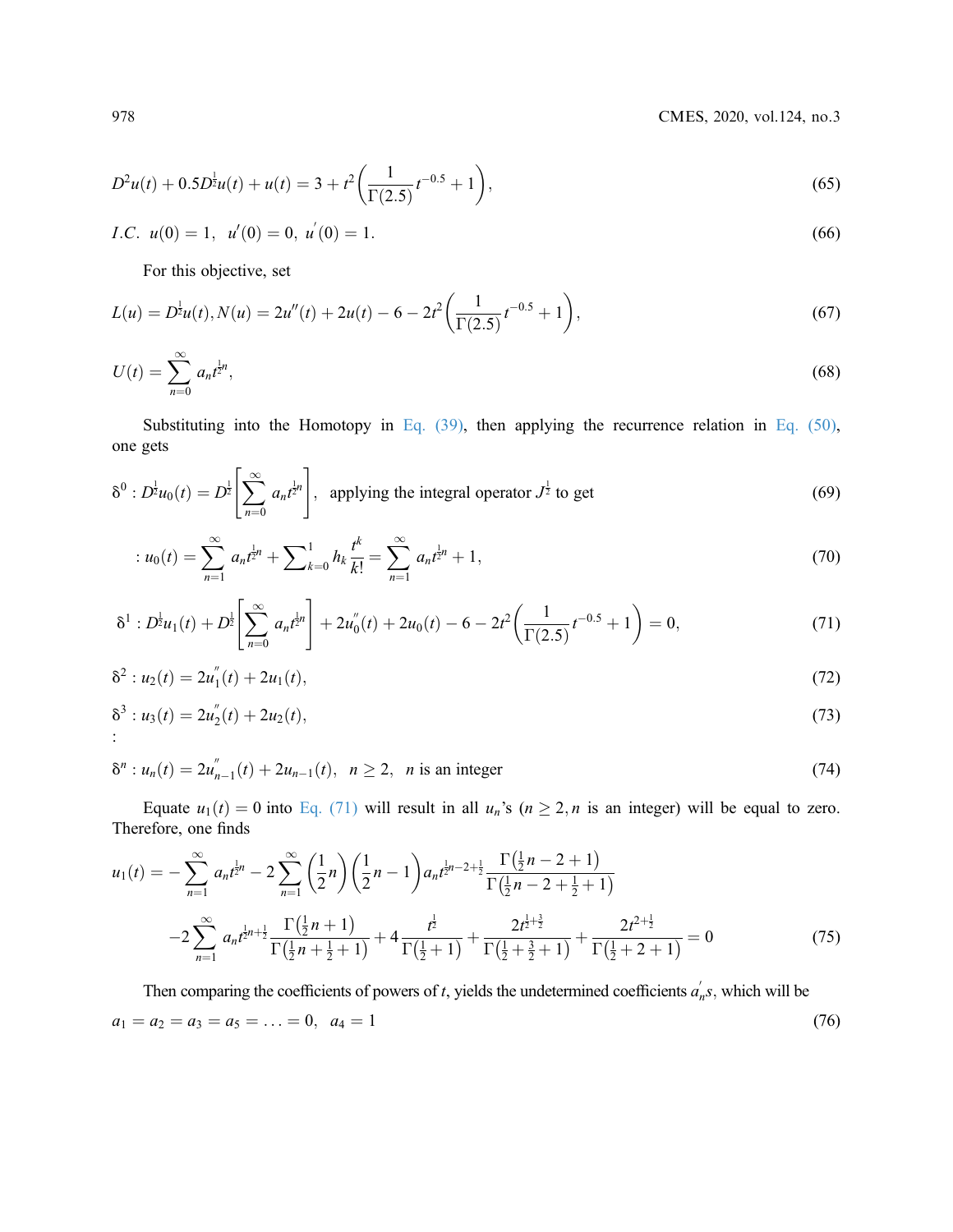978 CMES, 2020, vol.124, no.3

$$
D^{2}u(t) + 0.5D^{\frac{1}{2}}u(t) + u(t) = 3 + t^{2} \left(\frac{1}{\Gamma(2.5)}t^{-0.5} + 1\right),
$$
\n(65)

*I.C.* 
$$
u(0) = 1
$$
,  $u'(0) = 0$ ,  $u'(0) = 1$ . (66)

For this objective, set

$$
L(u) = D^{\frac{1}{2}}u(t), N(u) = 2u''(t) + 2u(t) - 6 - 2t^2 \left(\frac{1}{\Gamma(2.5)}t^{-0.5} + 1\right),
$$
\n(67)

$$
U(t) = \sum_{n=0}^{\infty} a_n t^{\frac{1}{2}n},
$$
\t(68)

Substituting into the Homotopy in [Eq. \(39\),](#page-6-3) then applying the recurrence relation in Eq. (50), one gets

$$
\delta^{0}: D^{\frac{1}{2}}u_{0}(t) = D^{\frac{1}{2}}\left[\sum_{n=0}^{\infty} a_{n}t^{\frac{1}{2}n}\right], \text{ applying the integral operator } J^{\frac{1}{2}} \text{ to get}
$$
\n(69)

<span id="page-9-2"></span>
$$
: u_0(t) = \sum_{n=1}^{\infty} a_n t^{\frac{1}{2}n} + \sum_{k=0}^{1} h_k \frac{t^k}{k!} = \sum_{n=1}^{\infty} a_n t^{\frac{1}{2}n} + 1,
$$
\n
$$
(70)
$$

$$
\delta^1 : D_2^{\frac{1}{2}} u_1(t) + D_2^{\frac{1}{2}} \left[ \sum_{n=0}^{\infty} a_n t^{\frac{1}{2}n} \right] + 2 u_0''(t) + 2 u_0(t) - 6 - 2t^2 \left( \frac{1}{\Gamma(2.5)} t^{-0.5} + 1 \right) = 0, \tag{71}
$$

$$
\delta^2: u_2(t) = 2u_1''(t) + 2u_1(t), \tag{72}
$$

$$
\delta^3 : u_3(t) = 2u_2''(t) + 2u_2(t), \tag{73}
$$

$$
\delta^{n}: u_{n}(t) = 2u''_{n-1}(t) + 2u_{n-1}(t), \ \ n \ge 2, \ \ n \text{ is an integer}
$$
\n(74)

Equate  $u_1(t) = 0$  into [Eq. \(71\)](#page-8-0) will result in all  $u_n$ 's ( $n \ge 2$ , n is an integer) will be equal to zero. Therefore, one finds

<span id="page-9-1"></span>
$$
u_1(t) = -\sum_{n=1}^{\infty} a_n t^{\frac{1}{2}n} - 2\sum_{n=1}^{\infty} \left(\frac{1}{2}n\right) \left(\frac{1}{2}n - 1\right) a_n t^{\frac{1}{2}n - 2 + \frac{1}{2}} \frac{\Gamma\left(\frac{1}{2}n - 2 + 1\right)}{\Gamma\left(\frac{1}{2}n - 2 + \frac{1}{2} + 1\right)}
$$
  

$$
-2\sum_{n=1}^{\infty} a_n t^{\frac{1}{2}n + \frac{1}{2}} \frac{\Gamma\left(\frac{1}{2}n + 1\right)}{\Gamma\left(\frac{1}{2}n + \frac{1}{2} + 1\right)} + 4\frac{t^{\frac{1}{2}}}{\Gamma\left(\frac{1}{2} + 1\right)} + \frac{2t^{\frac{1}{2} + \frac{3}{2}}}{\Gamma\left(\frac{1}{2} + \frac{3}{2} + 1\right)} + \frac{2t^{2+\frac{1}{2}}}{\Gamma\left(\frac{1}{2} + 2 + 1\right)} = 0
$$
(75)

<span id="page-9-0"></span>Then comparing the coefficients of powers of t, yields the undetermined coefficients  $a'_n s$ , which will be  $a_1 = a_2 = a_3 = a_5 = \ldots = 0, \ \ a_4 = 1$  (76)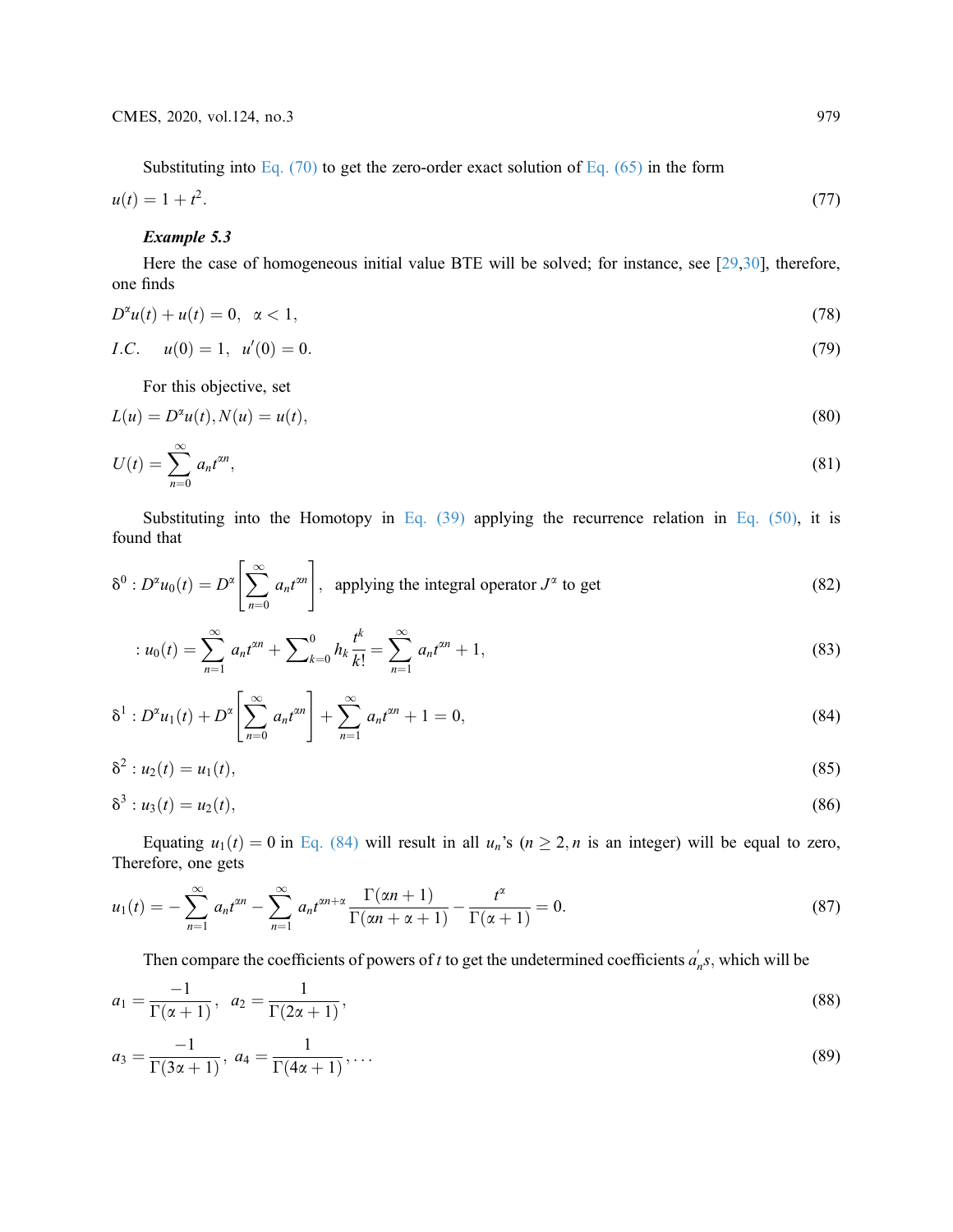Substituting into Eq.  $(70)$  to get the zero-order exact solution of Eq.  $(65)$  in the form

$$
u(t) = 1 + t^2. \tag{77}
$$

### Example 5.3

Here the case of homogeneous initial value BTE will be solved; for instance, see [[29](#page-14-0)[,30](#page-14-1)], therefore, one finds

$$
D^{\alpha}u(t) + u(t) = 0, \ \alpha < 1,\tag{78}
$$

*I.C.* 
$$
u(0) = 1, u'(0) = 0.
$$
 (79)

For this objective, set

$$
L(u) = D^{\alpha}u(t), N(u) = u(t),
$$
\n(80)

$$
U(t) = \sum_{n=0}^{\infty} a_n t^{\alpha n},\tag{81}
$$

Substituting into the Homotopy in [Eq. \(39\)](#page-6-3) applying the recurrence relation in Eq. (50), it is found that

$$
\delta^{0}: D^{\alpha}u_{0}(t) = D^{\alpha}\left[\sum_{n=0}^{\infty} a_{n}t^{\alpha n}\right], \text{ applying the integral operator } J^{\alpha} \text{ to get}
$$
\n(82)

$$
: u_0(t) = \sum_{n=1}^{\infty} a_n t^{\alpha n} + \sum_{k=0}^{0} h_k \frac{t^k}{k!} = \sum_{n=1}^{\infty} a_n t^{\alpha n} + 1,
$$
\n(83)

$$
\delta^{1}: D^{\alpha}u_{1}(t) + D^{\alpha}\left[\sum_{n=0}^{\infty} a_{n}t^{\alpha n}\right] + \sum_{n=1}^{\infty} a_{n}t^{\alpha n} + 1 = 0,
$$
\n(84)

$$
\delta^2: u_2(t) = u_1(t),\tag{85}
$$

$$
\delta^3: u_3(t) = u_2(t), \tag{86}
$$

Equating  $u_1(t) = 0$  in [Eq. \(84\)](#page-9-0) will result in all  $u_n$ 's ( $n \ge 2$ , n is an integer) will be equal to zero, Therefore, one gets

$$
u_1(t) = -\sum_{n=1}^{\infty} a_n t^{\alpha n} - \sum_{n=1}^{\infty} a_n t^{\alpha n + \alpha} \frac{\Gamma(\alpha n + 1)}{\Gamma(\alpha n + \alpha + 1)} - \frac{t^{\alpha}}{\Gamma(\alpha + 1)} = 0.
$$
 (87)

Then compare the coefficients of powers of t to get the undetermined coefficients  $a_n^{\prime} s$ , which will be

$$
a_1 = \frac{-1}{\Gamma(\alpha+1)}, \ \ a_2 = \frac{1}{\Gamma(2\alpha+1)}, \tag{88}
$$

$$
a_3 = \frac{-1}{\Gamma(3\alpha + 1)}, \ a_4 = \frac{1}{\Gamma(4\alpha + 1)}, \dots \tag{89}
$$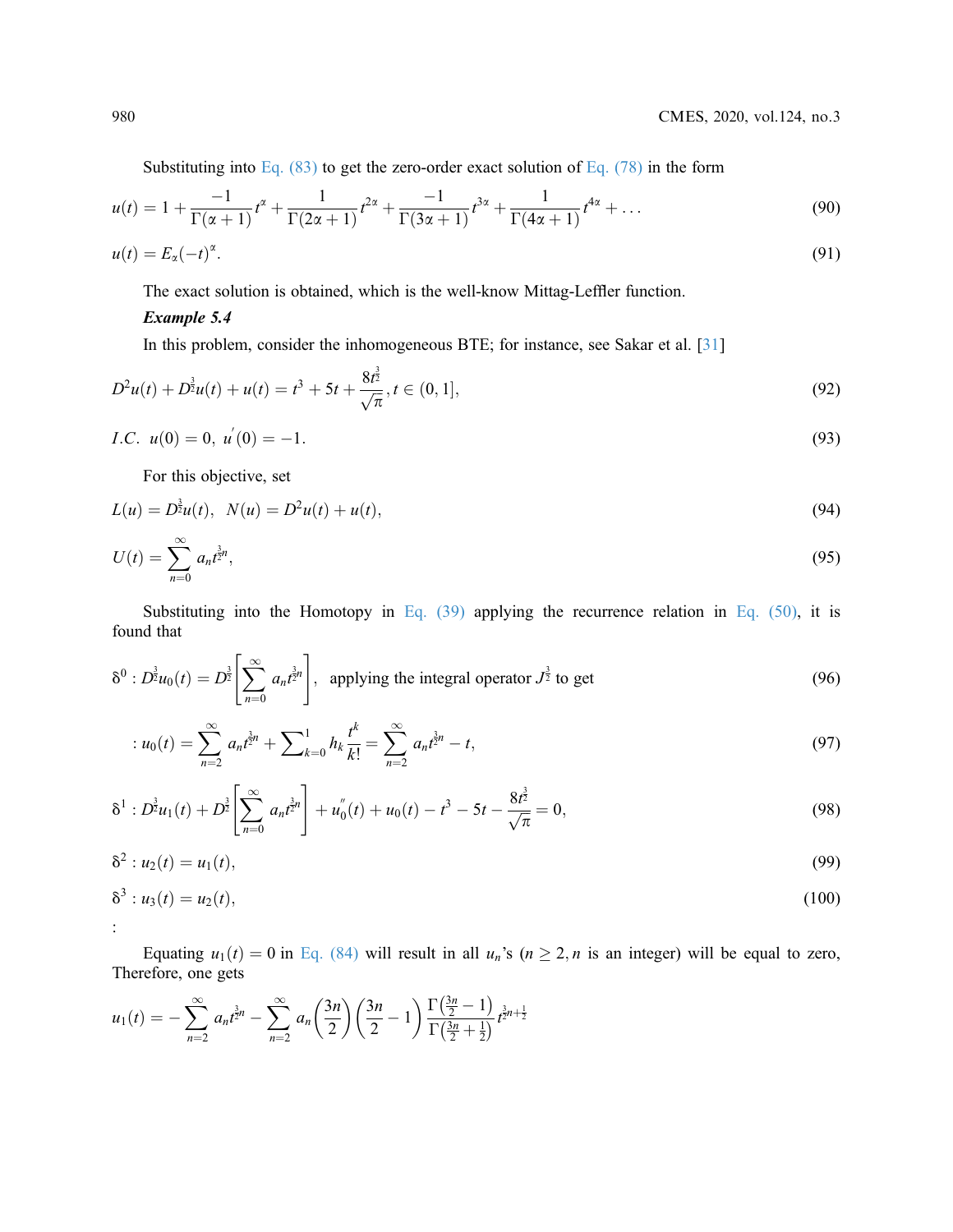Substituting into Eq.  $(83)$  to get the zero-order exact solution of Eq.  $(78)$  in the form

$$
u(t) = 1 + \frac{-1}{\Gamma(\alpha+1)}t^{\alpha} + \frac{1}{\Gamma(2\alpha+1)}t^{2\alpha} + \frac{-1}{\Gamma(3\alpha+1)}t^{3\alpha} + \frac{1}{\Gamma(4\alpha+1)}t^{4\alpha} + \dots
$$
 (90)

$$
u(t) = E_{\alpha}(-t)^{\alpha}.
$$
\n(91)

The exact solution is obtained, which is the well-know Mittag-Leffler function.

### Example 5.4

In this problem, consider the inhomogeneous BTE; for instance, see Sakar et al. [[31](#page-14-2)]

$$
D^{2}u(t) + D^{\frac{3}{2}}u(t) + u(t) = t^{3} + 5t + \frac{8t^{\frac{3}{2}}}{\sqrt{\pi}}, t \in (0, 1],
$$
\n(92)

*I.C.*  $u(0) = 0, u'$  $(0) = -1.$  (93)

For this objective, set

$$
L(u) = D^{\frac{3}{2}}u(t), \quad N(u) = D^2u(t) + u(t), \tag{94}
$$

$$
U(t) = \sum_{n=0}^{\infty} a_n t^{\frac{3}{2}n},\tag{95}
$$

Substituting into the Homotopy in [Eq. \(39\)](#page-6-3) applying the recurrence relation in Eq. (50), it is found that

$$
\delta^{0}: D^{\frac{3}{2}}u_{0}(t) = D^{\frac{3}{2}}\left[\sum_{n=0}^{\infty} a_{n}t^{\frac{3}{2}n}\right], \text{ applying the integral operator } J^{\frac{3}{2}} \text{ to get}
$$
\n(96)

$$
: u_0(t) = \sum_{n=2}^{\infty} a_n t^{\frac{3}{2}n} + \sum_{k=0}^1 h_k \frac{t^k}{k!} = \sum_{n=2}^{\infty} a_n t^{\frac{3}{2}n} - t,
$$
\n
$$
(97)
$$

$$
\delta^1 : D^{\frac{3}{2}} u_1(t) + D^{\frac{3}{2}} \left[ \sum_{n=0}^{\infty} a_n t^{\frac{3}{2}n} \right] + u_0''(t) + u_0(t) - t^3 - 5t - \frac{8t^{\frac{3}{2}}}{\sqrt{\pi}} = 0, \tag{98}
$$

$$
\delta^2: u_2(t) = u_1(t), \tag{99}
$$

$$
\delta^3: u_3(t) = u_2(t), \tag{100}
$$
  
:

Equating  $u_1(t) = 0$  in [Eq. \(84\)](#page-9-0) will result in all  $u_n$ 's ( $n \ge 2$ , n is an integer) will be equal to zero, Therefore, one gets

$$
u_1(t) = -\sum_{n=2}^{\infty} a_n t^{\frac{3}{2}n} - \sum_{n=2}^{\infty} a_n \left(\frac{3n}{2}\right) \left(\frac{3n}{2} - 1\right) \frac{\Gamma\left(\frac{3n}{2} - 1\right)}{\Gamma\left(\frac{3n}{2} + \frac{1}{2}\right)} t^{\frac{3}{2}n + \frac{1}{2}}
$$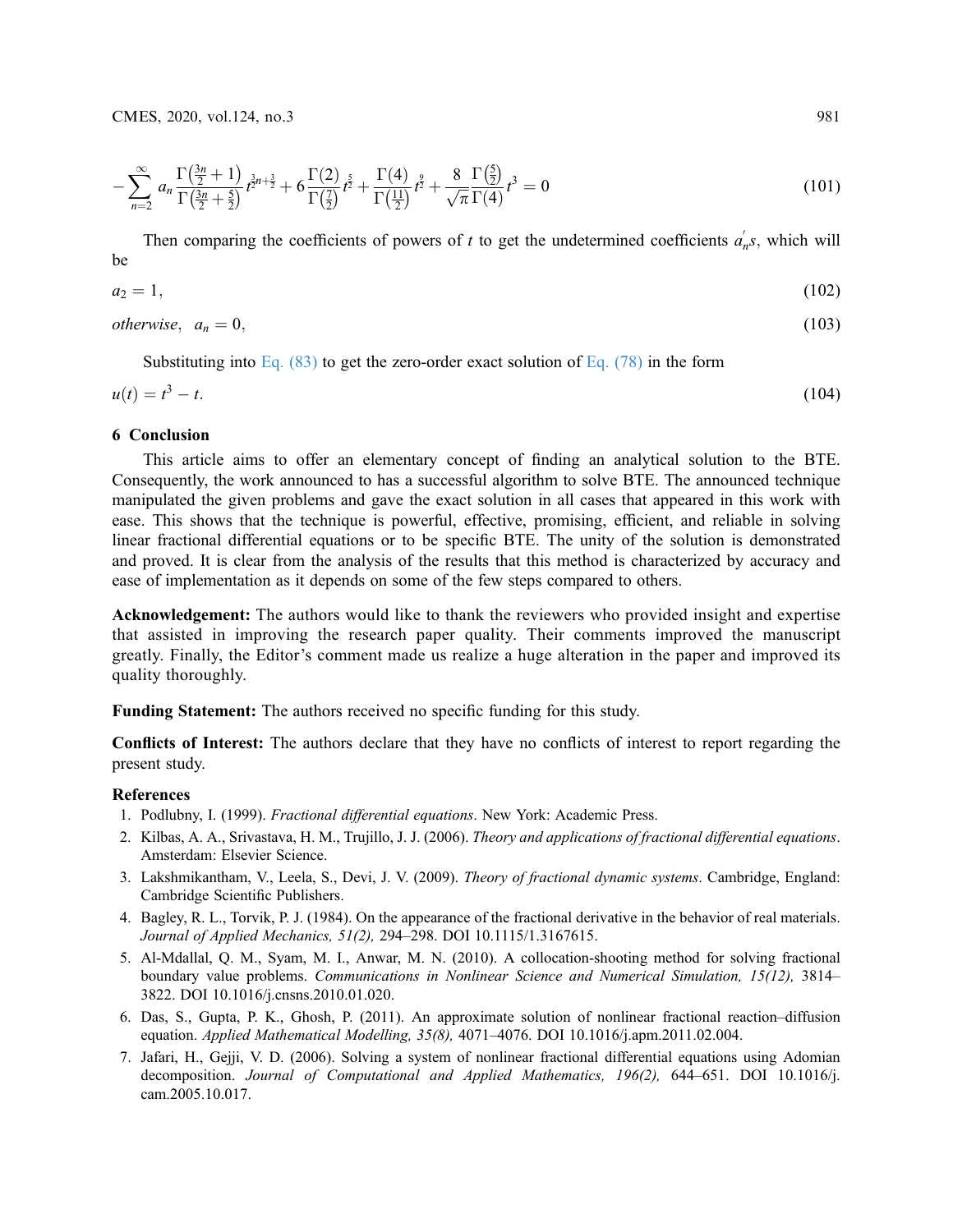$$
-\sum_{n=2}^{\infty} a_n \frac{\Gamma(\frac{3n}{2}+1)}{\Gamma(\frac{3n}{2}+\frac{5}{2})} t^{\frac{3}{2}n+\frac{3}{2}} + 6 \frac{\Gamma(2)}{\Gamma(\frac{7}{2})} t^{\frac{5}{2}} + \frac{\Gamma(4)}{\Gamma(\frac{11}{2})} t^{\frac{9}{2}} + \frac{8}{\sqrt{\pi}} \frac{\Gamma(\frac{5}{2})}{\Gamma(4)} t^3 = 0
$$
\n(101)

Then comparing the coefficients of powers of t to get the undetermined coefficients  $a_n$ 's, which will be

$$
a_2 = 1,\tag{102}
$$

*otherwise*,  $a_n = 0$ , (103)

Substituting into Eq. (83) to get the zero-order exact solution of Eq. (78) in the form\n
$$
f(x) = \frac{1}{2\pi} \int_{-\infty}^{\infty} f(x) \, dx
$$

$$
u(t) = t^3 - t.\tag{104}
$$

#### 6 Conclusion

This article aims to offer an elementary concept of finding an analytical solution to the BTE. Consequently, the work announced to has a successful algorithm to solve BTE. The announced technique manipulated the given problems and gave the exact solution in all cases that appeared in this work with ease. This shows that the technique is powerful, effective, promising, efficient, and reliable in solving linear fractional differential equations or to be specific BTE. The unity of the solution is demonstrated and proved. It is clear from the analysis of the results that this method is characterized by accuracy and ease of implementation as it depends on some of the few steps compared to others.

Acknowledgement: The authors would like to thank the reviewers who provided insight and expertise that assisted in improving the research paper quality. Their comments improved the manuscript greatly. Finally, the Editor's comment made us realize a huge alteration in the paper and improved its quality thoroughly.

Funding Statement: The authors received no specific funding for this study.

Conflicts of Interest: The authors declare that they have no conflicts of interest to report regarding the present study.

#### References

- <span id="page-12-0"></span>1. Podlubny, I. (1999). Fractional differential equations. New York: Academic Press.
- <span id="page-12-1"></span>2. Kilbas, A. A., Srivastava, H. M., Trujillo, J. J. (2006). Theory and applications of fractional differential equations. Amsterdam: Elsevier Science.
- <span id="page-12-2"></span>3. Lakshmikantham, V., Leela, S., Devi, J. V. (2009). Theory of fractional dynamic systems. Cambridge, England: Cambridge Scientific Publishers.
- <span id="page-12-3"></span>4. Bagley, R. L., Torvik, P. J. (1984). On the appearance of the fractional derivative in the behavior of real materials. Journal of Applied Mechanics, 51(2), 294–298. DOI [10.1115/1.3167615.](http://dx.doi.org/10.1115/1.3167615)
- <span id="page-12-4"></span>5. Al-Mdallal, Q. M., Syam, M. I., Anwar, M. N. (2010). A collocation-shooting method for solving fractional boundary value problems. Communications in Nonlinear Science and Numerical Simulation, 15(12), 3814-3822. DOI [10.1016/j.cnsns.2010.01.020](http://dx.doi.org/10.1016/j.cnsns.2010.01.020).
- <span id="page-12-5"></span>6. Das, S., Gupta, P. K., Ghosh, P. (2011). An approximate solution of nonlinear fractional reaction–diffusion equation. Applied Mathematical Modelling, 35(8), 4071–4076. DOI [10.1016/j.apm.2011.02.004](http://dx.doi.org/10.1016/j.apm.2011.02.004).
- 7. Jafari, H., Gejji, V. D. (2006). Solving a system of nonlinear fractional differential equations using Adomian decomposition. Journal of Computational and Applied Mathematics, 196(2), 644–651. DOI [10.1016/j.](http://dx.doi.org/10.1016/j.cam.2005.10.017) [cam.2005.10.017](http://dx.doi.org/10.1016/j.cam.2005.10.017).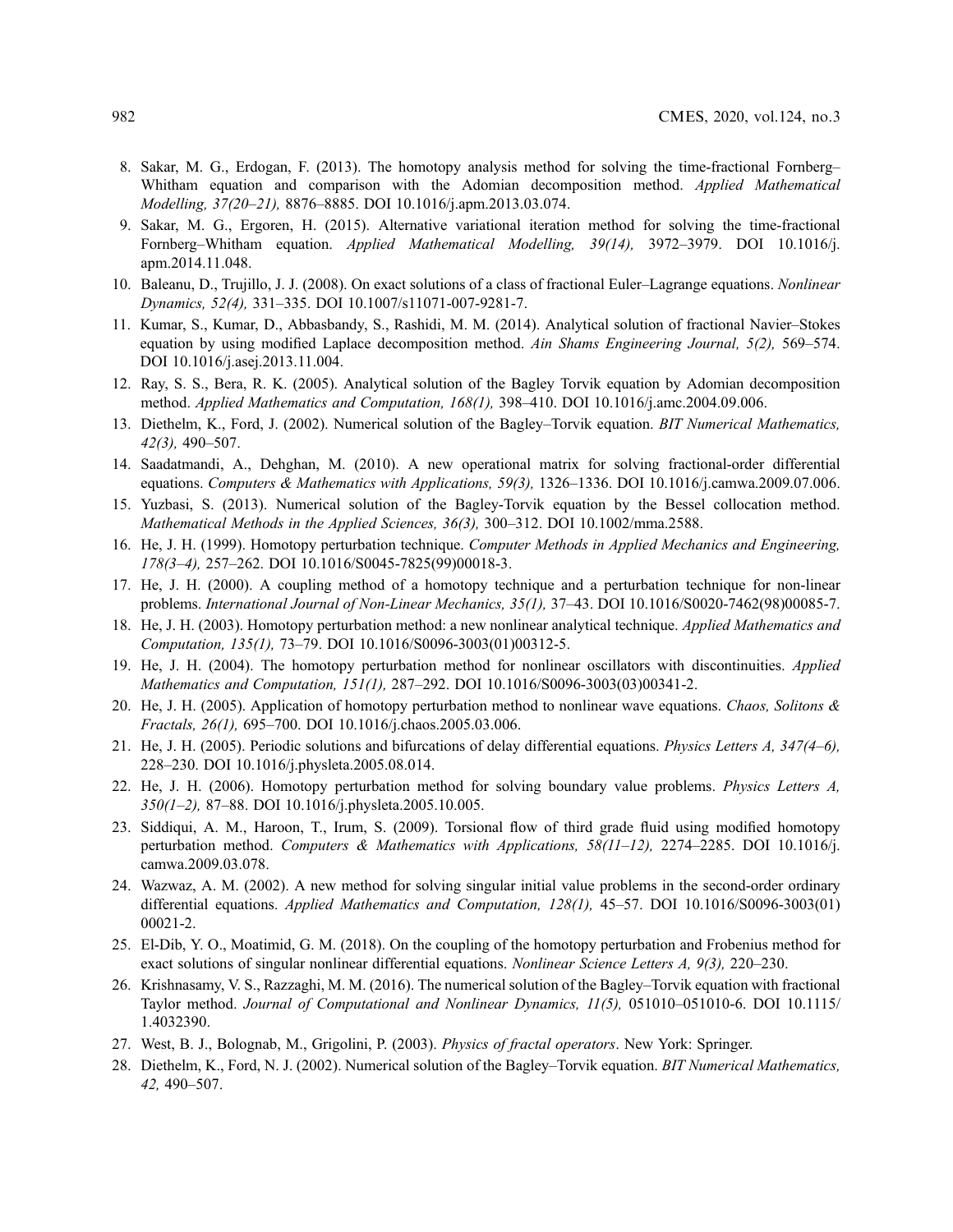- 8. Sakar, M. G., Erdogan, F. (2013). The homotopy analysis method for solving the time-fractional Fornberg– Whitham equation and comparison with the Adomian decomposition method. Applied Mathematical Modelling, 37(20–21), 8876–8885. DOI [10.1016/j.apm.2013.03.074](http://dx.doi.org/10.1016/j.apm.2013.03.074).
- 9. Sakar, M. G., Ergoren, H. (2015). Alternative variational iteration method for solving the time-fractional Fornberg–Whitham equation. Applied Mathematical Modelling, 39(14), 3972–3979. DOI [10.1016/j.](http://dx.doi.org/10.1016/j.apm.2014.11.048) [apm.2014.11.048.](http://dx.doi.org/10.1016/j.apm.2014.11.048)
- 10. Baleanu, D., Trujillo, J. J. (2008). On exact solutions of a class of fractional Euler–Lagrange equations. Nonlinear Dynamics, 52(4), 331–335. DOI [10.1007/s11071-007-9281-7.](http://dx.doi.org/10.1007/s11071-007-9281-7)
- <span id="page-13-0"></span>11. Kumar, S., Kumar, D., Abbasbandy, S., Rashidi, M. M. (2014). Analytical solution of fractional Navier–Stokes equation by using modified Laplace decomposition method. Ain Shams Engineering Journal, 5(2), 569–574. DOI [10.1016/j.asej.2013.11.004](http://dx.doi.org/10.1016/j.asej.2013.11.004).
- <span id="page-13-1"></span>12. Ray, S. S., Bera, R. K. (2005). Analytical solution of the Bagley Torvik equation by Adomian decomposition method. Applied Mathematics and Computation, 168(1), 398–410. DOI [10.1016/j.amc.2004.09.006.](http://dx.doi.org/10.1016/j.amc.2004.09.006)
- <span id="page-13-2"></span>13. Diethelm, K., Ford, J. (2002). Numerical solution of the Bagley–Torvik equation. BIT Numerical Mathematics, 42(3), 490–507.
- <span id="page-13-3"></span>14. Saadatmandi, A., Dehghan, M. (2010). A new operational matrix for solving fractional-order differential equations. Computers & Mathematics with Applications, 59(3), 1326-1336. DOI [10.1016/j.camwa.2009.07.006.](http://dx.doi.org/10.1016/j.camwa.2009.07.006)
- <span id="page-13-4"></span>15. Yuzbasi, S. (2013). Numerical solution of the Bagley-Torvik equation by the Bessel collocation method. Mathematical Methods in the Applied Sciences, 36(3), 300–312. DOI [10.1002/mma.2588.](http://dx.doi.org/10.1002/mma.2588)
- <span id="page-13-5"></span>16. He, J. H. (1999). Homotopy perturbation technique. Computer Methods in Applied Mechanics and Engineering, 178(3–4), 257–262. DOI [10.1016/S0045-7825\(99\)00018-3.](http://dx.doi.org/10.1016/S0045-7825(99)00018-3)
- 17. He, J. H. (2000). A coupling method of a homotopy technique and a perturbation technique for non-linear problems. International Journal of Non-Linear Mechanics, 35(1), 37–43. DOI [10.1016/S0020-7462\(98\)00085-7.](http://dx.doi.org/10.1016/S0020-7462(98)00085-7)
- 18. He, J. H. (2003). Homotopy perturbation method: a new nonlinear analytical technique. Applied Mathematics and Computation, 135(1), 73–79. DOI [10.1016/S0096-3003\(01\)00312-5](http://dx.doi.org/10.1016/S0096-3003(01)00312-5).
- 19. He, J. H. (2004). The homotopy perturbation method for nonlinear oscillators with discontinuities. Applied Mathematics and Computation, 151(1), 287–292. DOI [10.1016/S0096-3003\(03\)00341-2](http://dx.doi.org/10.1016/S0096-3003(03)00341-2).
- 20. He, J. H. (2005). Application of homotopy perturbation method to nonlinear wave equations. Chaos, Solitons  $\&$ Fractals, 26(1), 695–700. DOI [10.1016/j.chaos.2005.03.006.](http://dx.doi.org/10.1016/j.chaos.2005.03.006)
- 21. He, J. H. (2005). Periodic solutions and bifurcations of delay differential equations. Physics Letters A, 347(4–6), 228–230. DOI [10.1016/j.physleta.2005.08.014](http://dx.doi.org/10.1016/j.physleta.2005.08.014).
- <span id="page-13-6"></span>22. He, J. H. (2006). Homotopy perturbation method for solving boundary value problems. Physics Letters A, 350(1–2), 87–88. DOI [10.1016/j.physleta.2005.10.005.](http://dx.doi.org/10.1016/j.physleta.2005.10.005)
- <span id="page-13-7"></span>23. Siddiqui, A. M., Haroon, T., Irum, S. (2009). Torsional flow of third grade fluid using modified homotopy perturbation method. Computers & Mathematics with Applications, 58(11-12), 2274-2285. DOI [10.1016/j.](http://dx.doi.org/10.1016/j.camwa.2009.03.078) [camwa.2009.03.078.](http://dx.doi.org/10.1016/j.camwa.2009.03.078)
- <span id="page-13-8"></span>24. Wazwaz, A. M. (2002). A new method for solving singular initial value problems in the second-order ordinary differential equations. Applied Mathematics and Computation, 128(1), 45–57. DOI [10.1016/S0096-3003\(01\)](http://dx.doi.org/10.1016/S0096-3003(01)00021-2) [00021-2.](http://dx.doi.org/10.1016/S0096-3003(01)00021-2)
- <span id="page-13-9"></span>25. El-Dib, Y. O., Moatimid, G. M. (2018). On the coupling of the homotopy perturbation and Frobenius method for exact solutions of singular nonlinear differential equations. Nonlinear Science Letters A, 9(3), 220–230.
- <span id="page-13-10"></span>26. Krishnasamy, V. S., Razzaghi, M. M. (2016). The numerical solution of the Bagley–Torvik equation with fractional Taylor method. Journal of Computational and Nonlinear Dynamics, 11(5), 051010–051010-6. DOI [10.1115/](http://dx.doi.org/10.1115/1.4032390) [1.4032390.](http://dx.doi.org/10.1115/1.4032390)
- <span id="page-13-11"></span>27. West, B. J., Bolognab, M., Grigolini, P. (2003). Physics of fractal operators. New York: Springer.
- <span id="page-13-12"></span>28. Diethelm, K., Ford, N. J. (2002). Numerical solution of the Bagley–Torvik equation. BIT Numerical Mathematics, 42, 490–507.